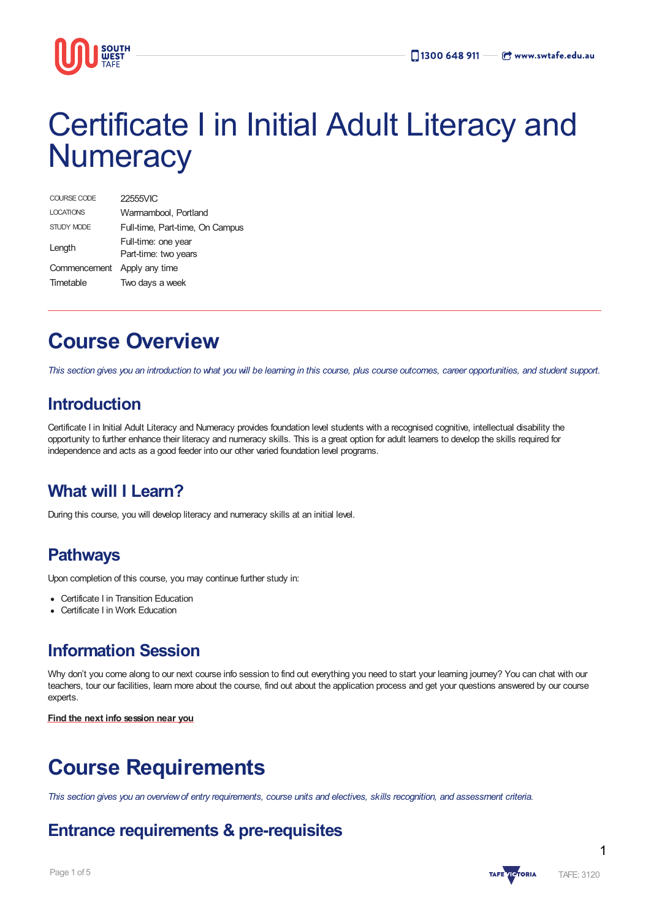

# Certificate I in Initial Adult Literacy and **Numeracy**

| COURSE CODE                 | 22555VIC                                    |
|-----------------------------|---------------------------------------------|
| <b>LOCATIONS</b>            | Warmambool, Portland                        |
| STUDY MODE                  | Full-time, Part-time, On Campus             |
| Length                      | Full-time: one year<br>Part-time: two years |
| Commencement Apply any time |                                             |
| Timetable                   | Two days a week                             |

# **Course Overview**

This section gives you an introduction to what you will be learning in this course, plus course outcomes, career opportunities, and student support.

### **Introduction**

Certificate I in Initial Adult Literacy and Numeracy provides foundation level students with a recognised cognitive, intellectual disability the opportunity to further enhance their literacy and numeracy skills. This is a great option for adult learners to develop the skills required for independence and acts as a good feeder into our other varied foundation level programs.

### **What will I Learn?**

During this course, you will develop literacy and numeracy skills at an initial level.

### **Pathways**

Upon completion of this course, you may continue further study in:

- Certificate I in Transition Education
- Certificate I in Work Education

### **Information Session**

Why don't you come along to our next course info session to find out everything you need to start your learning journey? You can chat with our teachers, tour our facilities, learn more about the course, find out about the application process and get your questions answered by our course experts.

**Find the next info [session](https://www.swtafe.edu.au/information-sessions) near you**

# **Course Requirements**

This section gives you an overview of entry requirements, course units and electives, skills recognition, and assessment criteria.

### **Entrance requirements & pre-requisites**

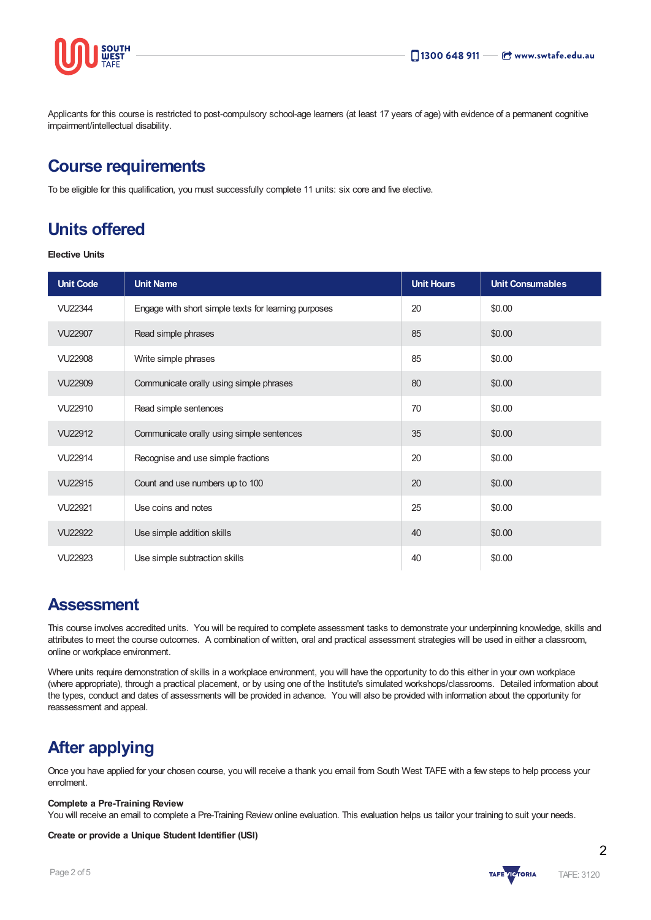

Applicants for this course is restricted to post-compulsory school-age learners (at least 17 years of age) with evidence of a permanent cognitive impairment/intellectual disability.

### **Course requirements**

To be eligible for this qualification, you must successfully complete 11 units: six core and five elective.

### **Units offered**

**Elective Units**

| <b>Unit Code</b> | <b>Unit Name</b>                                     | <b>Unit Hours</b> | <b>Unit Consumables</b> |
|------------------|------------------------------------------------------|-------------------|-------------------------|
| <b>VU22344</b>   | Engage with short simple texts for learning purposes | 20                | \$0.00                  |
| <b>VU22907</b>   | Read simple phrases                                  | 85                | \$0.00                  |
| <b>VU22908</b>   | Write simple phrases                                 | 85                | \$0.00                  |
| <b>VU22909</b>   | Communicate orally using simple phrases              | 80                | \$0.00                  |
| VU22910          | Read simple sentences                                | 70                | \$0.00                  |
| VU22912          | Communicate orally using simple sentences            | 35                | \$0.00                  |
| <b>VU22914</b>   | Recognise and use simple fractions                   | 20                | \$0.00                  |
| VU22915          | Count and use numbers up to 100                      | 20                | \$0.00                  |
| VU22921          | Use coins and notes                                  | 25                | \$0.00                  |
| <b>VU22922</b>   | Use simple addition skills                           | 40                | \$0.00                  |
| VU22923          | Use simple subtraction skills                        | 40                | \$0.00                  |

### **Assessment**

This course involves accredited units. You will be required to complete assessment tasks to demonstrate your underpinning knowledge, skills and attributes to meet the course outcomes. A combination of written, oral and practical assessment strategies will be used in either a classroom, online or workplace environment.

Where units require demonstration of skills in a workplace environment, you will have the opportunity to do this either in your own workplace (where appropriate), through a practical placement, or by using one of the Institute's simulated workshops/classrooms. Detailed information about the types, conduct and dates of assessments will be provided in advance. You will also be provided with information about the opportunity for reassessment and appeal.

### **After applying**

Once you have applied for your chosen course, you will receive a thank you email from South West TAFE with a few steps to help process your enrolment.

#### **Complete a Pre-Training Review**

You will receive an email to complete a Pre-Training Review online evaluation. This evaluation helps us tailor your training to suit your needs.

#### **Create or provide a Unique Student Identifier (USI)**

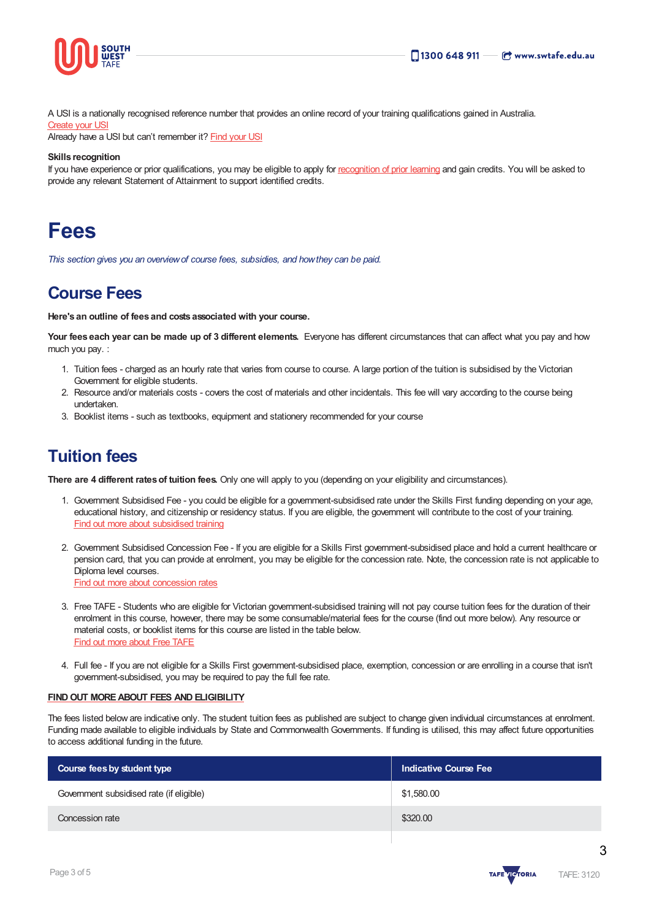

A USI is a nationally recognised reference number that provides an online record of your training qualifications gained in Australia.

#### [Create](https://www.usi.gov.au/students/create-usi) your USI

Already have a USI but can't remember it? [Find](https://www.usi.gov.au/faqs/i-have-forgotten-my-usi) your USI

#### **Skills recognition**

If you have experience or prior qualifications, you may be eligible to apply for [recognition](https://www.swtafe.edu.au/study/how-to-apply/skills-recognition) of prior learning and gain credits. You will be asked to provide any relevant Statement of Attainment to support identified credits.

## **Fees**

*This section gives you an overviewof course fees, subsidies, and howthey can be paid.*

### **Course Fees**

**Here's an outline of fees and costs associated with your course.**

**Your fees each year can be made up of 3 different elements.** Everyone has different circumstances that can affect what you pay and how much you pay. :

- 1. Tuition fees charged as an hourly rate that varies from course to course. A large portion of the tuition is subsidised by the Victorian Government for eligible students.
- 2. Resource and/or materials costs covers the cost of materials and other incidentals. This fee will vary according to the course being undertaken.
- 3. Booklist items such as textbooks, equipment and stationery recommended for your course

### **Tuition fees**

**There are 4 different ratesof tuition fees.** Only one will apply to you (depending on your eligibility and circumstances).

- 1. Government Subsidised Fee you could be eligible for a government-subsidised rate under the Skills First funding depending on your age, educational history, and citizenship or residency status. If you are eligible, the government will contribute to the cost of your training. Find out more about [subsidised](https://www.swtafe.edu.au/study/fees-free-tafe/access-govt-subsidies/victorian-students) training
- 2. Government Subsidised Concession Fee If you are eligible for a Skills First government-subsidised place and hold a current healthcare or pension card, that you can provide at enrolment, you may be eligible for the concession rate. Note, the concession rate is not applicable to Diploma level courses. Find out more about [concession](https://www.swtafe.edu.au/study/fees-free-tafe/concession) rates
- 3. Free TAFE Students who are eligible for Victorian government-subsidised training will not pay course tuition fees for the duration of their enrolment in this course, however, there may be some consumable/material fees for the course (find out more below). Any resource or material costs, or booklist items for this course are listed in the table below. Find out more [about](https://www.swtafe.edu.au/courses/free-tafe-courses) Free TAFE
- 4. Full fee If you are not eligible for a Skills First government-subsidised place, exemption, concession or are enrolling in a course that isn't government-subsidised, you may be required to pay the full fee rate.

#### **FINDOUT [MOREABOUT](https://www.swtafe.edu.au/study/fees-free-tafe) FEES AND ELIGIBILITY**

The fees listed below are indicative only. The student tuition fees as published are subject to change given individual circumstances at enrolment. Funding made available to eligible individuals by State and Commonwealth Governments. If funding is utilised, this may affect future opportunities to access additional funding in the future.

| Course fees by student type              | <b>Indicative Course Fee</b> |  |
|------------------------------------------|------------------------------|--|
| Government subsidised rate (if eligible) | \$1,580.00                   |  |
| Concession rate                          | \$320.00                     |  |



3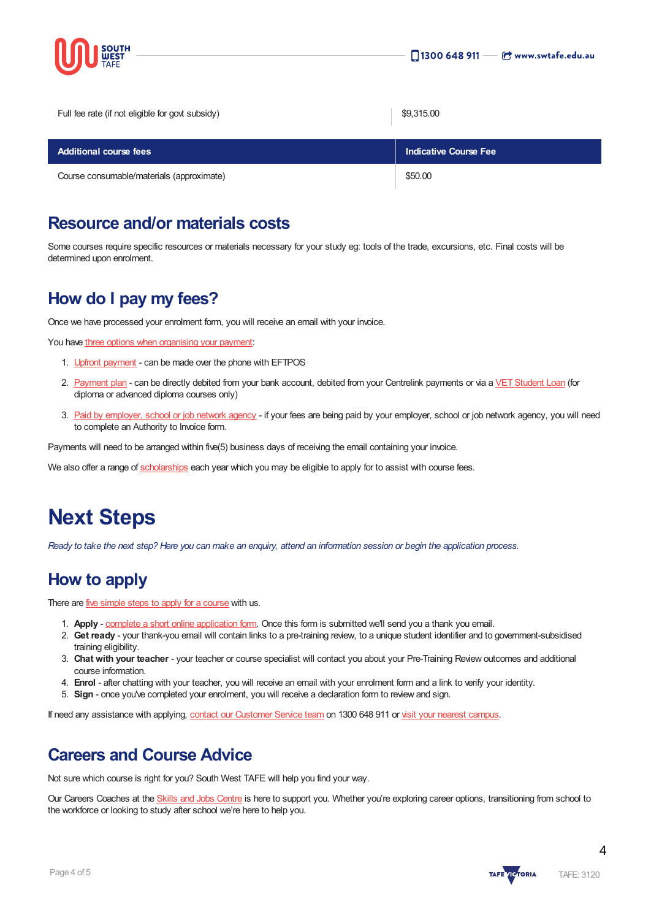

| Full fee rate (if not eligible for govt subsidy) | \$9,315.00                   |
|--------------------------------------------------|------------------------------|
| <b>Additional course fees</b>                    | <b>Indicative Course Fee</b> |
| Course consumable/materials (approximate)        | \$50.00                      |

### **Resource and/or materials costs**

Some courses require specific resources or materials necessary for your study eg: tools of the trade, excursions, etc. Final costs will be determined upon enrolment.

### **How do I pay my fees?**

Once we have processed your enrolment form, you will receive an email with your invoice.

You have three options when [organising](https://www.swtafe.edu.au/study/fees-free-tafe/payment-options) your payment:

- 1. Upfront [payment](https://www.swtafe.edu.au/study/fees-free-tafe/payment-options) can be made over the phone with EFTPOS
- 2. [Payment](https://www.swtafe.edu.au/study/fees-free-tafe/payment-options) plan can be directly debited from your bank account, debited from your Centrelink payments or via a VET Student Loan (for diploma or advanced diploma courses only)
- 3. Paid by [employer,](https://www.swtafe.edu.au/study/fees-free-tafe/payment-options) school or job network agency if your fees are being paid by your employer, school or job network agency, you will need to complete an Authority to Invoice form.

Payments will need to be arranged within five(5) business days of receiving the email containing your invoice.

We also offer a range of [scholarships](https://www.swtafe.edu.au/study/scholarships) each year which you may be eligible to apply for to assist with course fees.

# **Next Steps**

Ready to take the next step? Here you can make an enquiry, attend an information session or begin the application process.

### **How to apply**

There are *five [simple](https://www.swtafe.edu.au/study/how-to-apply) steps to apply for a course* with us.

- 1. **Apply** complete a short online [application](https://www.swtafe.edu.au/apply-now) form. Once this form is submitted we'll send you a thank you email.
- 2. **Get ready** your thank-you email will contain links to a pre-training review, to a unique student identifier and to government-subsidised training eligibility.
- 3. **Chat with your teacher** your teacher or course specialist will contact you about your Pre-Training Review outcomes and additional course information.
- 4. **Enrol** after chatting with your teacher, you will receive an email with your enrolment form and a link to verify your identity.
- 5. **Sign** once you've completed your enrolment, you will receive a declaration form to review and sign.

If need any assistance with applying, contact our [Customer](https://www.swtafe.edu.au/about-us/contact-us) Service team on 1300 648 911 or visit your nearest [campus](https://www.swtafe.edu.au/about-us/our-campuses).

### **Careers and Course Advice**

Not sure which course is right for you? South West TAFE will help you find your way.

Our Careers Coaches at the Skills and Jobs [Centre](https://www.swskillsandjobscentre.com.au/) is here to support you. Whether you're exploring career options, transitioning from school to the workforce or looking to study after school we're here to help you.